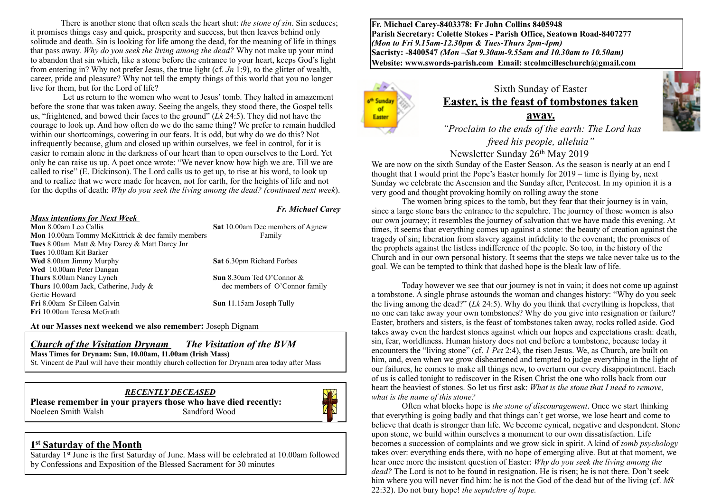There is another stone that often seals the heart shut: *the stone of sin*. Sin seduces; it promises things easy and quick, prosperity and success, but then leaves behind only solitude and death. Sin is looking for life among the dead, for the meaning of life in things that pass away. *Why do you seek the living among the dead?* Why not make up your mind to abandon that sin which, like a stone before the entrance to your heart, keeps God's light from entering in? Why not prefer Jesus, the true light (cf. *Jn* 1:9), to the glitter of wealth, career, pride and pleasure? Why not tell the empty things of this world that you no longer live for them, but for the Lord of life?

 Let us return to the women who went to Jesus' tomb. They halted in amazement before the stone that was taken away. Seeing the angels, they stood there, the Gospel tells us, "frightened, and bowed their faces to the ground" (*Lk* 24:5). They did not have the courage to look up. And how often do we do the same thing? We prefer to remain huddled within our shortcomings, cowering in our fears. It is odd, but why do we do this? Not infrequently because, glum and closed up within ourselves, we feel in control, for it is easier to remain alone in the darkness of our heart than to open ourselves to the Lord. Yet only he can raise us up. A poet once wrote: "We never know how high we are. Till we are called to rise" (E. Dickinson). The Lord calls us to get up, to rise at his word, to look up and to realize that we were made for heaven, not for earth, for the heights of life and not for the depths of death: *Why do you seek the living among the dead? (continued next week*).

#### *Mass intentions for Next Week*

**Mon** 8.00am Leo Callis **Sat** 10.00am Dec members of Agnew **Mon** 10.00am Tommy McKittrick & dec family members Family **Tues** 8.00am Matt & May Darcy & Matt Darcy Jnr **Tues** 10.00am Kit Barker **Wed** 8.00am Jimmy Murphy **Sat** 6.30pm Richard Forbes **Wed** 10.00am Peter Dangan **Thurs** 8.00am Nancy Lynch **Sun** 8.30am Ted O'Connor & **Thurs** 10.00am Jack, Catherine, Judy & dec members of O'Connor family Gertie Howard **Fri** 8.00am Sr Eileen Galvin Sun 11.15am Joseph Tully **Fri** 10.00am Teresa McGrath

*Fr. Michael Carey*

#### **At our Masses next weekend we also remember:** Joseph Dignam

#### *Church of the Visitation Drynam**The Visitation of the BVM*

**Mass Times for Drynam: Sun, 10.00am, 11.00am (Irish Mass)** 

St. Vincent de Paul will have their monthly church collection for Drynam area today after Mass

#### *RECENTLY DECEASED*

**Please remember in your prayers those who have died recently:** Noeleen Smith Walsh Sandford Wood



#### **1st Saturday of the Month**

Saturday 1st June is the first Saturday of June. Mass will be celebrated at 10.00am followed by Confessions and Exposition of the Blessed Sacrament for 30 minutes

**Fr. Michael Carey-8403378: Fr John Collins 8405948 Parish Secretary: Colette Stokes - Parish Office, Seatown Road-8407277**  *(Mon to Fri 9.15am-12.30pm & Tues-Thurs 2pm-4pm)*  **Sacristy: -8400547** *(Mon –Sat 9.30am-9.55am and 10.30am to 10.50am)* **Website: [www.swords-parish.com Email:](http://www.swords-parish.com%20%20email) stcolmcilleschurch@gmail.com**



## Sixth Sunday of Easter **Easter, is the feast of tombstones taken away.**

 *"Proclaim to the ends of the earth: The Lord has freed his people, alleluia"* 

## Newsletter Sunday 26th May 2019

We are now on the sixth Sunday of the Easter Season. As the season is nearly at an end I thought that I would print the Pope's Easter homily for 2019 – time is flying by, next Sunday we celebrate the Ascension and the Sunday after, Pentecost. In my opinion it is a very good and thought provoking homily on rolling away the stone

The women bring spices to the tomb, but they fear that their journey is in vain, since a large stone bars the entrance to the sepulchre. The journey of those women is also our own journey; it resembles the journey of salvation that we have made this evening. At times, it seems that everything comes up against a stone: the beauty of creation against the tragedy of sin; liberation from slavery against infidelity to the covenant; the promises of the prophets against the listless indifference of the people. So too, in the history of the Church and in our own personal history. It seems that the steps we take never take us to the goal. We can be tempted to think that dashed hope is the bleak law of life.

Today however we see that our journey is not in vain; it does not come up against a tombstone. A single phrase astounds the woman and changes history: "Why do you seek the living among the dead?" (*Lk* 24:5). Why do you think that everything is hopeless, that no one can take away your own tombstones? Why do you give into resignation or failure? Easter, brothers and sisters, is the feast of tombstones taken away, rocks rolled aside. God takes away even the hardest stones against which our hopes and expectations crash: death, sin, fear, worldliness. Human history does not end before a tombstone, because today it encounters the "living stone" (cf. *1 Pet* 2:4), the risen Jesus. We, as Church, are built on him, and, even when we grow disheartened and tempted to judge everything in the light of our failures, he comes to make all things new, to overturn our every disappointment. Each of us is called tonight to rediscover in the Risen Christ the one who rolls back from our heart the heaviest of stones. So let us first ask: *What is the stone that I need to remove, what is the name of this stone?*

Often what blocks hope is *the stone of discouragement*. Once we start thinking that everything is going badly and that things can't get worse, we lose heart and come to believe that death is stronger than life. We become cynical, negative and despondent. Stone upon stone, we build within ourselves a monument to our own dissatisfaction. Life becomes a succession of complaints and we grow sick in spirit. A kind of *tomb psychology* takes over: everything ends there, with no hope of emerging alive. But at that moment, we hear once more the insistent question of Easter: *Why do you seek the living among the dead?* The Lord is not to be found in resignation. He is risen; he is not there. Don't seek him where you will never find him: he is not the God of the dead but of the living (cf. *Mk*  22:32). Do not bury hope! *the sepulchre of hope.*